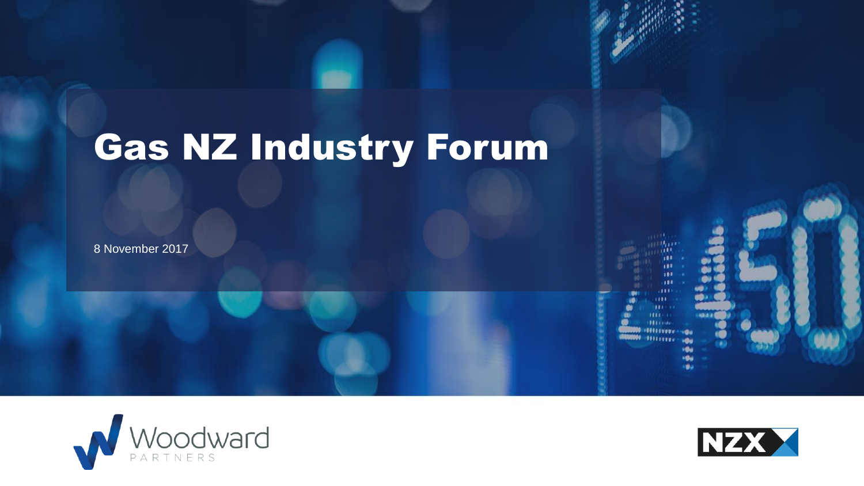



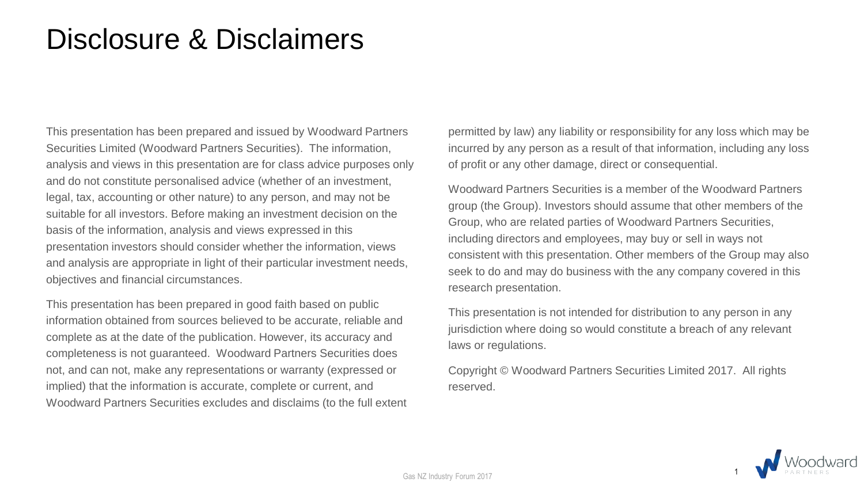## Disclosure & Disclaimers

This presentation has been prepared and issued by Woodward Partners Securities Limited (Woodward Partners Securities). The information, analysis and views in this presentation are for class advice purposes only and do not constitute personalised advice (whether of an investment, legal, tax, accounting or other nature) to any person, and may not be suitable for all investors. Before making an investment decision on the basis of the information, analysis and views expressed in this presentation investors should consider whether the information, views and analysis are appropriate in light of their particular investment needs, objectives and financial circumstances.

This presentation has been prepared in good faith based on public information obtained from sources believed to be accurate, reliable and complete as at the date of the publication. However, its accuracy and completeness is not guaranteed. Woodward Partners Securities does not, and can not, make any representations or warranty (expressed or implied) that the information is accurate, complete or current, and Woodward Partners Securities excludes and disclaims (to the full extent permitted by law) any liability or responsibility for any loss which may be incurred by any person as a result of that information, including any loss of profit or any other damage, direct or consequential.

Woodward Partners Securities is a member of the Woodward Partners group (the Group). Investors should assume that other members of the Group, who are related parties of Woodward Partners Securities, including directors and employees, may buy or sell in ways not consistent with this presentation. Other members of the Group may also seek to do and may do business with the any company covered in this research presentation.

This presentation is not intended for distribution to any person in any jurisdiction where doing so would constitute a breach of any relevant laws or regulations.

Copyright © Woodward Partners Securities Limited 2017. All rights reserved.

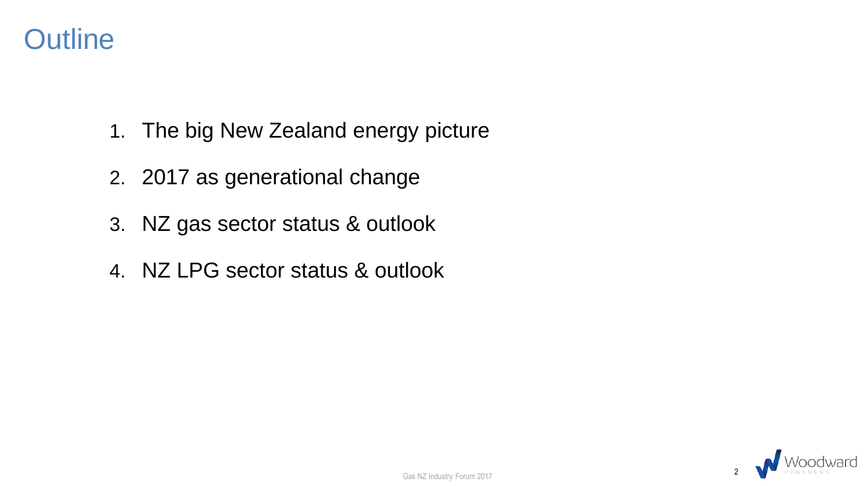

- 1. The big New Zealand energy picture
- 2. 2017 as generational change
- 3. NZ gas sector status & outlook
- 4. NZ LPG sector status & outlook

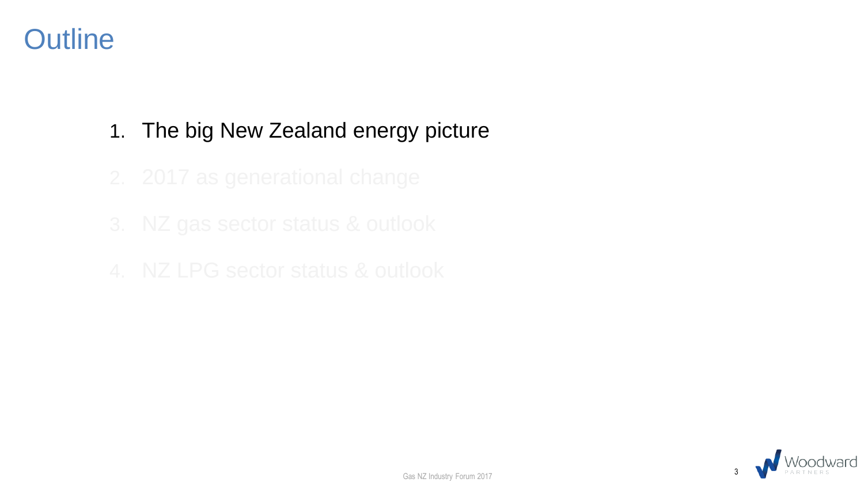### **Outline**

#### 1. The big New Zealand energy picture

- 
- 
- 

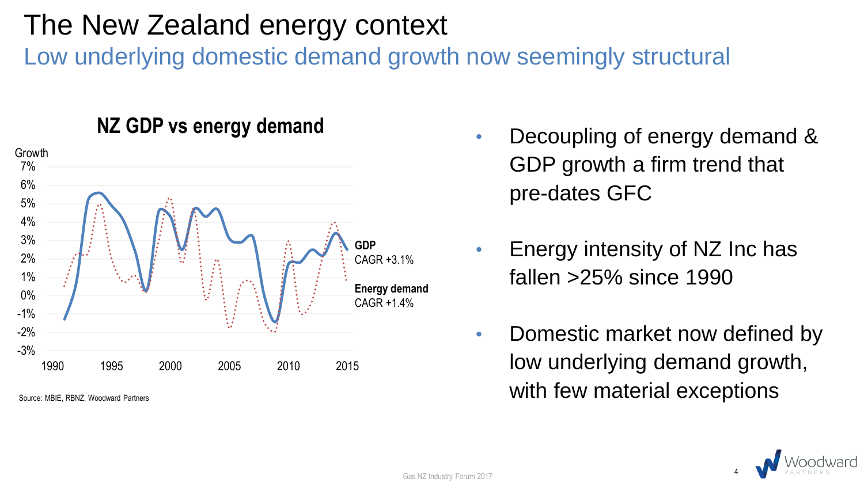Low underlying domestic demand growth now seemingly structural



**NZ GDP vs energy demand**

- Decoupling of energy demand & GDP growth a firm trend that pre-dates GFC
- Energy intensity of NZ Inc has fallen >25% since 1990
- Domestic market now defined by low underlying demand growth,  $S_{\text{Source: MBE. RBNZ.} }$  Woodward Partners  $\blacksquare$

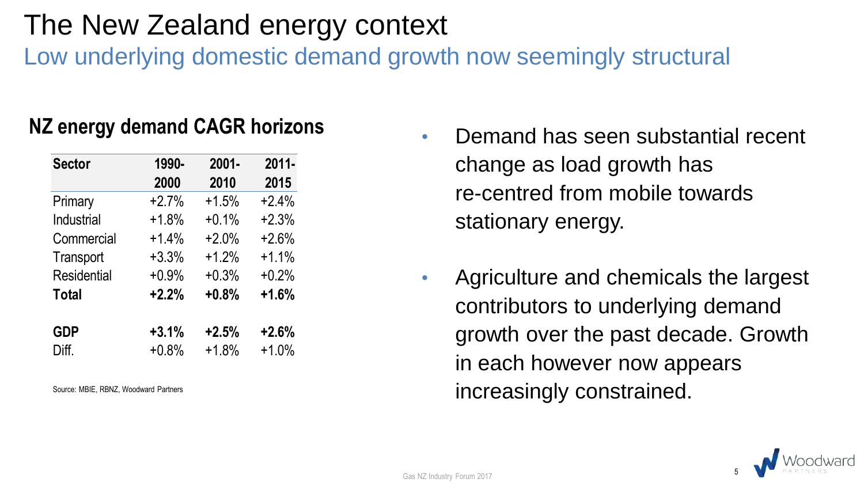Low underlying domestic demand growth now seemingly structural

#### **NZ energy demand CAGR horizons**

| <b>Sector</b> | 1990-   | $2001 -$ | $2011 -$ |
|---------------|---------|----------|----------|
|               | 2000    | 2010     | 2015     |
| Primary       | $+2.7%$ | $+1.5%$  | $+2.4%$  |
| Industrial    | $+1.8%$ | $+0.1%$  | $+2.3%$  |
| Commercial    | $+1.4%$ | $+2.0%$  | $+2.6%$  |
| Transport     | $+3.3%$ | $+1.2%$  | $+1.1%$  |
| Residential   | $+0.9%$ | $+0.3%$  | $+0.2%$  |
| <b>Total</b>  | $+2.2%$ | $+0.8%$  | $+1.6%$  |
|               |         |          |          |
| <b>GDP</b>    | $+3.1%$ | $+2.5%$  | $+2.6%$  |
| Diff.         | $+0.8%$ | $+1.8%$  | $+1.0%$  |

Source: MBIE, RBNZ, Woodward Partners

- Demand has seen substantial recent change as load growth has re-centred from mobile towards stationary energy.
- Agriculture and chemicals the largest contributors to underlying demand growth over the past decade. Growth in each however now appears increasingly constrained.

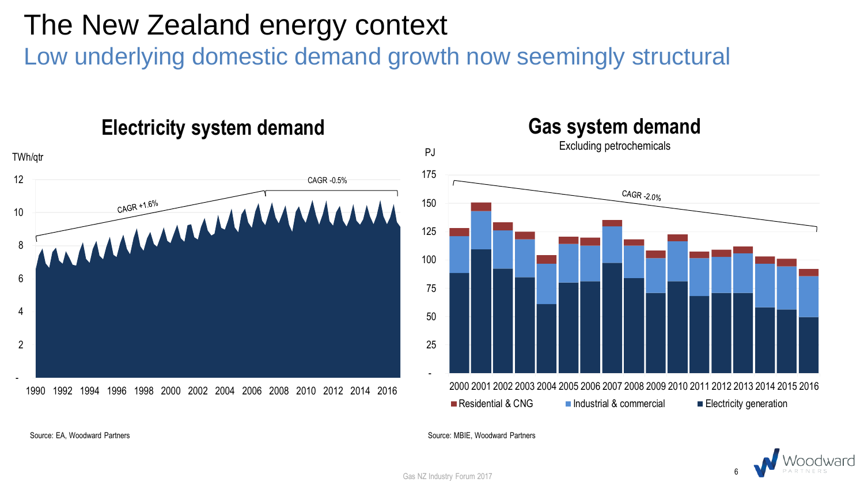Low underlying domestic demand growth now seemingly structural





Source: EA, Woodward Partners

Source: MBIE, Woodward Partners



Gas NZ Industry Forum 2017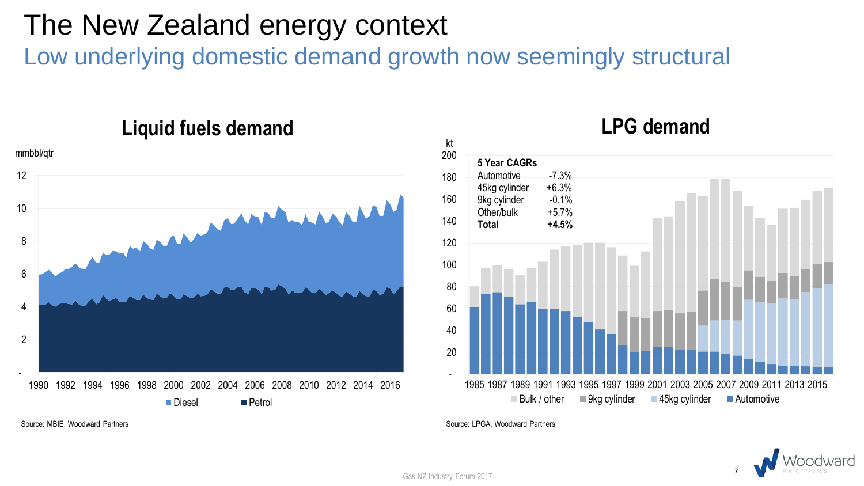Low underlying domestic demand growth now seemingly structural



#### **Liquid fuels demand**

#### **LPG demand**



Source: LPGA, Woodward Partners



Source: MBIE, Woodward Partners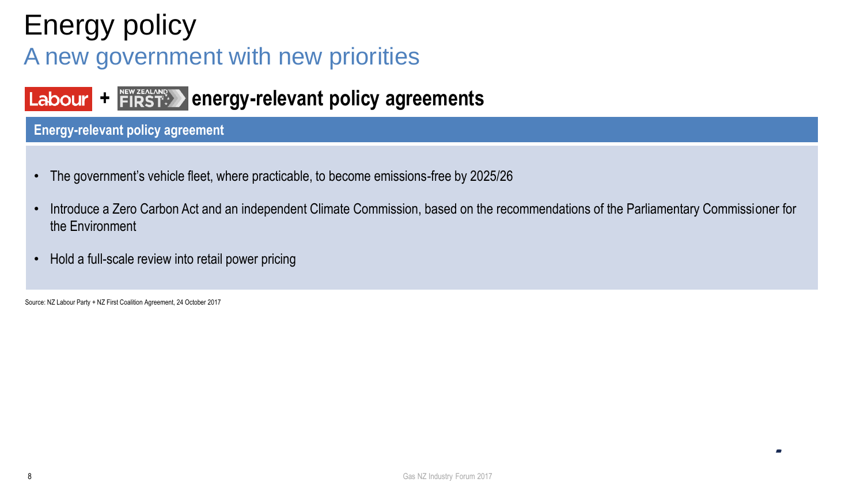# Energy policy

#### A new government with new priorities

#### Labour + FIRST<sup>\*</sup> energy-relevant policy agreements

#### **Energy-relevant policy agreement**

- The government's vehicle fleet, where practicable, to become emissions-free by 2025/26
- Introduce a Zero Carbon Act and an independent Climate Commission, based on the recommendations of the Parliamentary Commissioner for the Environment
- Hold a full-scale review into retail power pricing

Source: NZ Labour Party + NZ First Coalition Agreement, 24 October 2017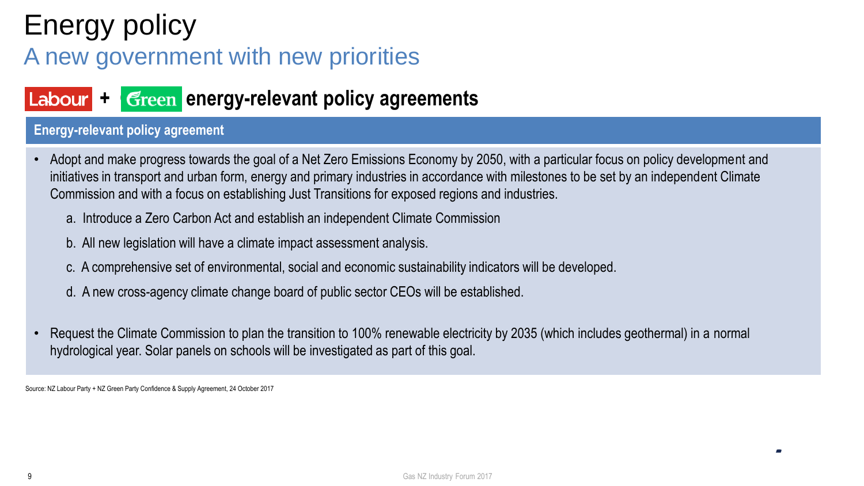# Energy policy

#### A new government with new priorities

#### Labour + Green energy-relevant policy agreements

#### **Energy-relevant policy agreement**

- Adopt and make progress towards the goal of a Net Zero Emissions Economy by 2050, with a particular focus on policy development and initiatives in transport and urban form, energy and primary industries in accordance with milestones to be set by an independent Climate Commission and with a focus on establishing Just Transitions for exposed regions and industries.
	- a. Introduce a Zero Carbon Act and establish an independent Climate Commission
	- b. All new legislation will have a climate impact assessment analysis.
	- c. A comprehensive set of environmental, social and economic sustainability indicators will be developed.
	- d. A new cross-agency climate change board of public sector CEOs will be established.
- Request the Climate Commission to plan the transition to 100% renewable electricity by 2035 (which includes geothermal) in a normal hydrological year. Solar panels on schools will be investigated as part of this goal.

Source: NZ Labour Party + NZ Green Party Confidence & Supply Agreement, 24 October 2017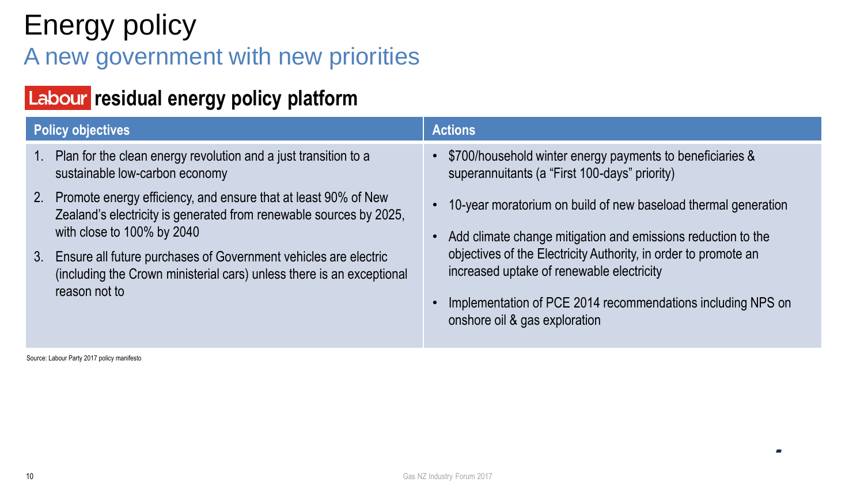# Energy policy

#### A new government with new priorities

#### **Labour residual energy policy platform**

| <b>Policy objectives</b> |                                                                                                                                                                       | <b>Actions</b>                                                                                                                                                                                               |  |  |
|--------------------------|-----------------------------------------------------------------------------------------------------------------------------------------------------------------------|--------------------------------------------------------------------------------------------------------------------------------------------------------------------------------------------------------------|--|--|
| $1_{\cdot}$              | Plan for the clean energy revolution and a just transition to a<br>sustainable low-carbon economy                                                                     | • \$700/household winter energy payments to beneficiaries &<br>superannuitants (a "First 100-days" priority)                                                                                                 |  |  |
|                          | 2. Promote energy efficiency, and ensure that at least 90% of New<br>Zealand's electricity is generated from renewable sources by 2025,<br>with close to 100% by 2040 | 10-year moratorium on build of new baseload thermal generation<br>Add climate change mitigation and emissions reduction to the                                                                               |  |  |
|                          | 3. Ensure all future purchases of Government vehicles are electric<br>(including the Crown ministerial cars) unless there is an exceptional<br>reason not to          | objectives of the Electricity Authority, in order to promote an<br>increased uptake of renewable electricity<br>Implementation of PCE 2014 recommendations including NPS on<br>onshore oil & gas exploration |  |  |

Source: Labour Party 2017 policy manifesto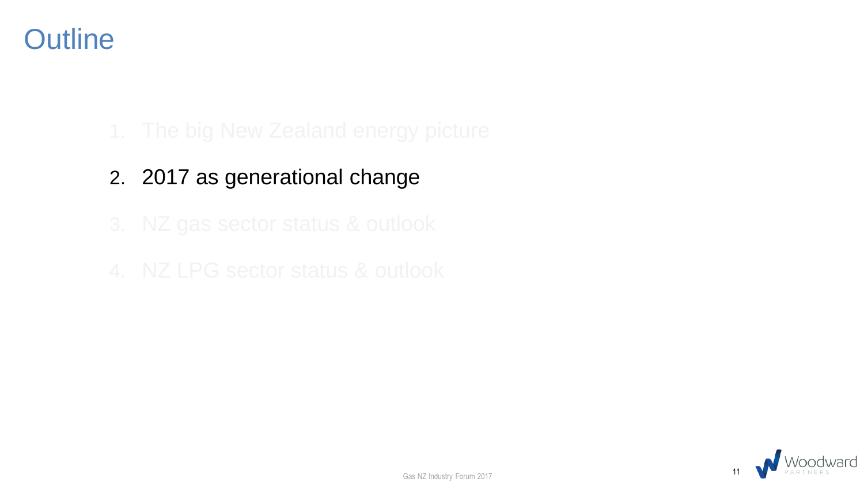### **Outline**

- 2. 2017 as generational change
- 
- 



Gas NZ Industry Forum 2017 11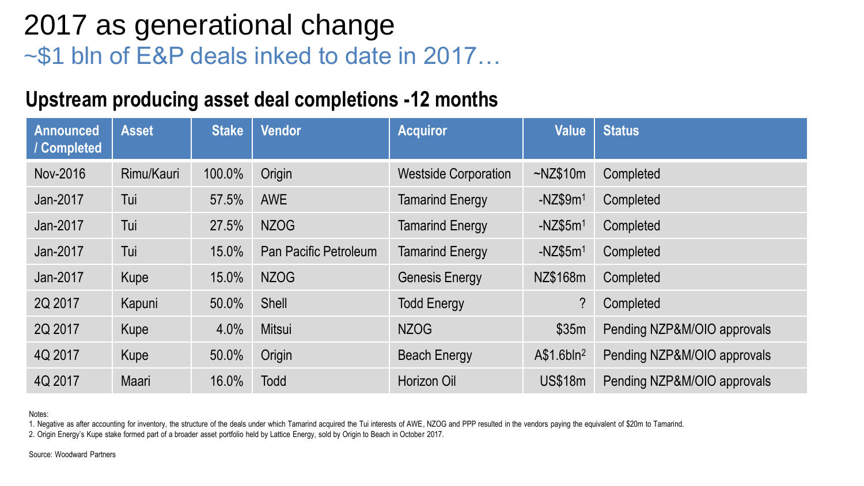### 2017 as generational change ~\$1 bln of E&P deals inked to date in 2017…

#### **Upstream producing asset deal completions -12 months**

| <b>Announced</b><br>/ Completed | <b>Asset</b> | <b>Stake</b> | <b>Vendor</b>         | <b>Acquiror</b>             | <b>Value</b>           | <b>Status</b>               |
|---------------------------------|--------------|--------------|-----------------------|-----------------------------|------------------------|-----------------------------|
| Nov-2016                        | Rimu/Kauri   | 100.0%       | Origin                | <b>Westside Corporation</b> | $-NZ$10m$              | Completed                   |
| Jan-2017                        | Tui          | 57.5%        | <b>AWE</b>            | <b>Tamarind Energy</b>      | $-NZ$9m1$              | Completed                   |
| Jan-2017                        | Tui          | 27.5%        | <b>NZOG</b>           | <b>Tamarind Energy</b>      | $-NZ$5m1$              | Completed                   |
| Jan-2017                        | Tui          | 15.0%        | Pan Pacific Petroleum | <b>Tamarind Energy</b>      | $-NZ$5m1$              | Completed                   |
| Jan-2017                        | Kupe         | 15.0%        | <b>NZOG</b>           | <b>Genesis Energy</b>       | NZ\$168m               | Completed                   |
| 2Q 2017                         | Kapuni       | 50.0%        | Shell                 | <b>Todd Energy</b>          | ?                      | Completed                   |
| 2Q 2017                         | Kupe         | 4.0%         | Mitsui                | <b>NZOG</b>                 | \$35m                  | Pending NZP&M/OIO approvals |
| 4Q 2017                         | Kupe         | 50.0%        | Origin                | <b>Beach Energy</b>         | A\$1.6bln <sup>2</sup> | Pending NZP&M/OIO approvals |
| 4Q 2017                         | Maari        | 16.0%        | <b>Todd</b>           | Horizon Oil                 | <b>US\$18m</b>         | Pending NZP&M/OIO approvals |

Notes:

1. Negative as after accounting for inventory, the structure of the deals under which Tamarind acquired the Tui interests of AWE, NZOG and PPP resulted in the vendors paying the equivalent of \$20m to Tamarind.

2. Origin Energy's Kupe stake formed part of a broader asset portfolio held by Lattice Energy, sold by Origin to Beach in October 2017.

Source: Woodward Partners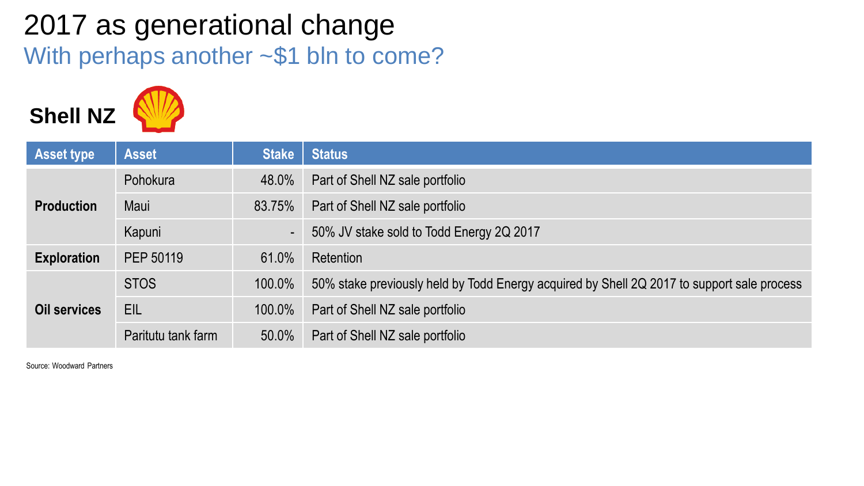## 2017 as generational change With perhaps another ~\$1 bln to come?



| <b>Asset type</b>   | <b>Asset</b>       | <b>Stake</b> | <b>Status</b>                                                                              |
|---------------------|--------------------|--------------|--------------------------------------------------------------------------------------------|
| <b>Production</b>   | Pohokura           | 48.0%        | Part of Shell NZ sale portfolio                                                            |
|                     | Maui               | 83.75%       | Part of Shell NZ sale portfolio                                                            |
|                     | Kapuni             | Æ            | 50% JV stake sold to Todd Energy 2Q 2017                                                   |
| <b>Exploration</b>  | PEP 50119          | 61.0%        | Retention                                                                                  |
| <b>Oil services</b> | <b>STOS</b>        | 100.0%       | 50% stake previously held by Todd Energy acquired by Shell 2Q 2017 to support sale process |
|                     | <b>EIL</b>         | 100.0%       | Part of Shell NZ sale portfolio                                                            |
|                     | Paritutu tank farm | 50.0%        | Part of Shell NZ sale portfolio                                                            |

Source: Woodward Partners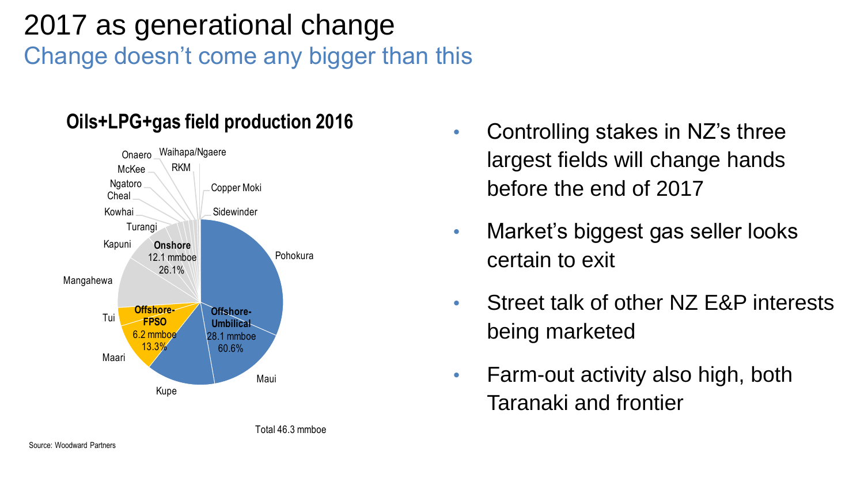## 2017 as generational change Change doesn't come any bigger than this



Total 46.3 mmboe

#### **Oils+LPG+gas field production 2016**

- Controlling stakes in NZ's three largest fields will change hands before the end of 2017
- Market's biggest gas seller looks certain to exit
- Street talk of other NZ E&P interests being marketed
- Farm-out activity also high, both Taranaki and frontier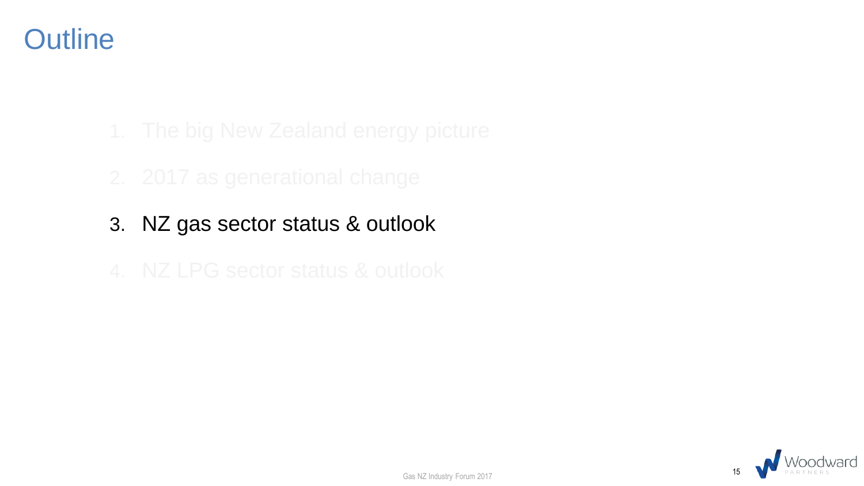## **Outline**

- 
- 3. NZ gas sector status & outlook
- 

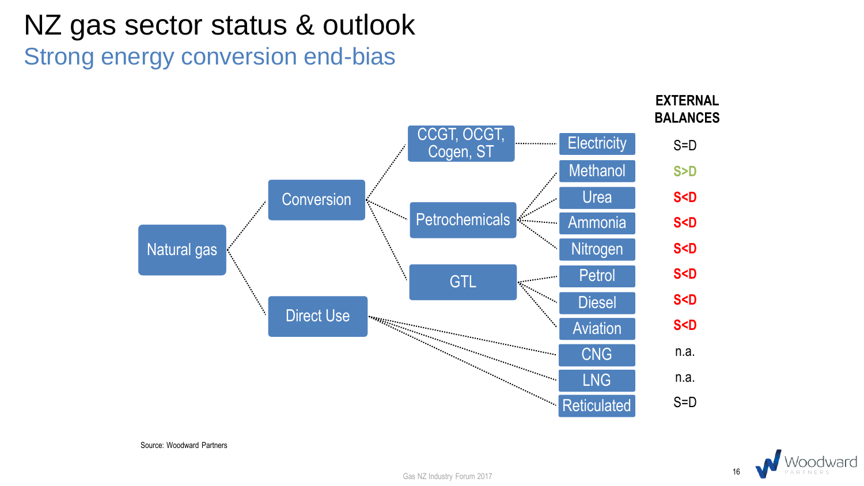# NZ gas sector status & outlook

Strong energy conversion end-bias





Source: Woodward Partners

Gas NZ Industry Forum 2017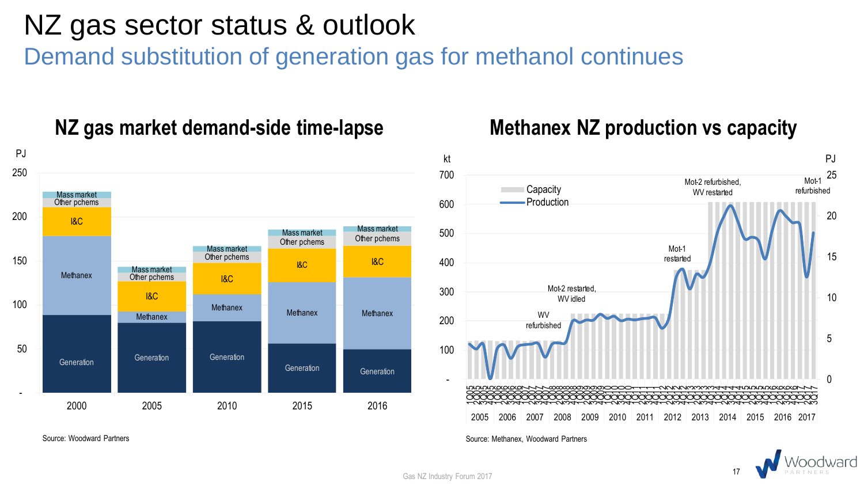## NZ gas sector status & outlook

Demand substitution of generation gas for methanol continues



#### **NZ gas market demand-side time-lapse**



**Methanex NZ production vs capacity**

Source: Methanex, Woodward Partners



Gas NZ Industry Forum 2017

Source: Woodward Partners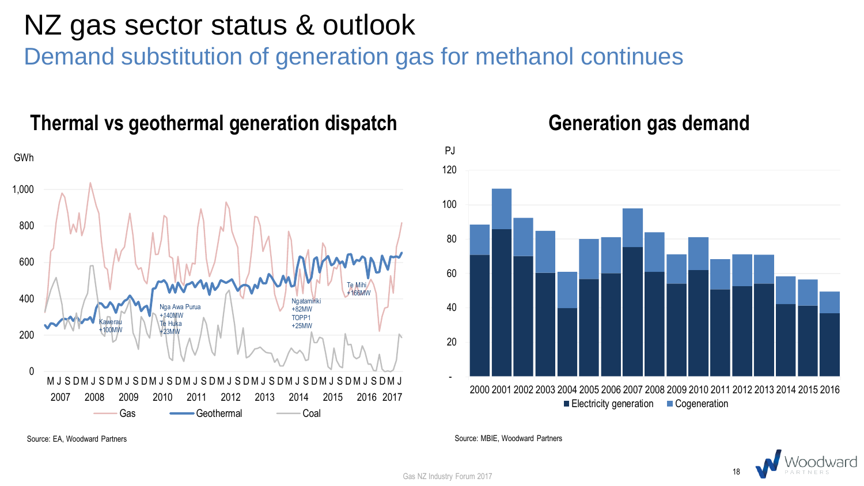## NZ gas sector status & outlook

Demand substitution of generation gas for methanol continues



#### **Thermal vs geothermal generation dispatch**



#### **Generation gas demand**

Source: EA, Woodward Partners



Gas NZ Industry Forum 2017

Source: MBIE, Woodward Partners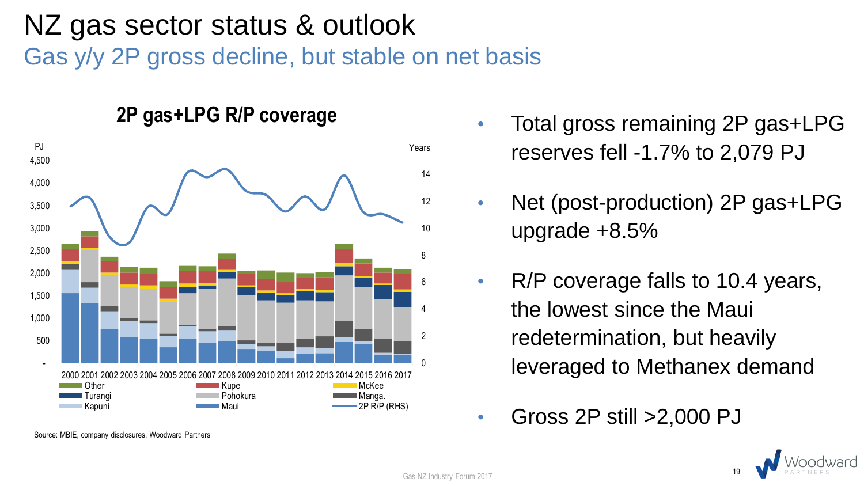## NZ gas sector status & outlook Gas y/y 2P gross decline, but stable on net basis



- **2P gas+LPG R/P coverage** Total gross remaining 2P gas+LPG reserves fell -1.7% to 2,079 PJ
	- Net (post-production) 2P gas+LPG upgrade +8.5%
	- R/P coverage falls to 10.4 years, the lowest since the Maui redetermination, but heavily leveraged to Methanex demand
	- Gross 2P still >2,000 PJ



Gas NZ Industry Forum 2017

Source: MBIE, company disclosures, Woodward Partners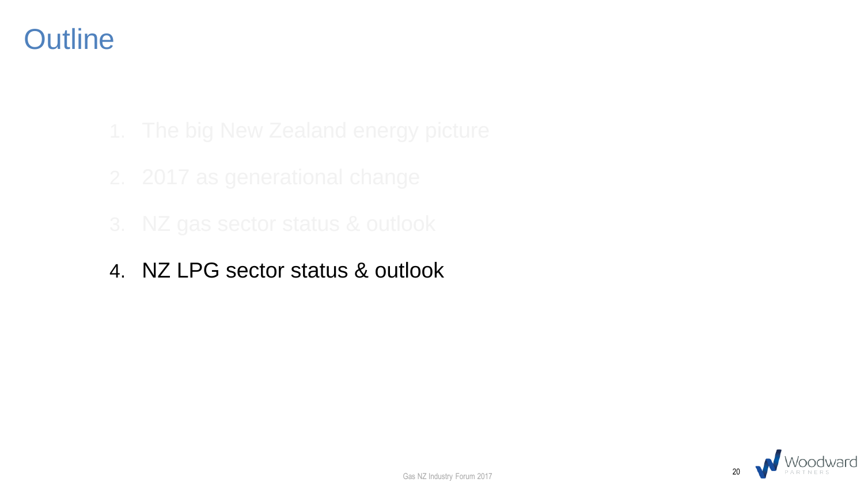## **Outline**

- 
- 
- 
- 4. NZ LPG sector status & outlook

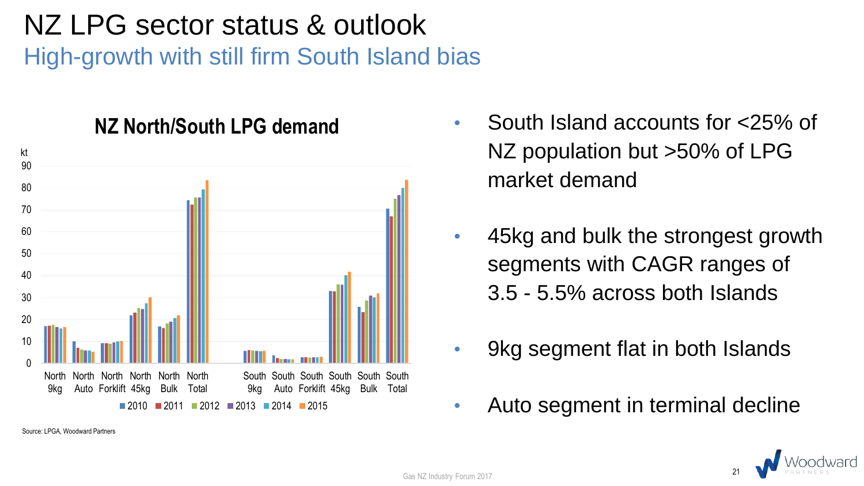## NZ LPG sector status & outlook High-growth with still firm South Island bias



- **NZ North/South LPG demand** South Island accounts for <25% of NZ population but >50% of LPG market demand
	- 45kg and bulk the strongest growth segments with CAGR ranges of 3.5 - 5.5% across both Islands
	- 9kg segment flat in both Islands
	- Auto segment in terminal decline



Gas NZ Industry Forum 2017

Source: LPGA, Woodward Partners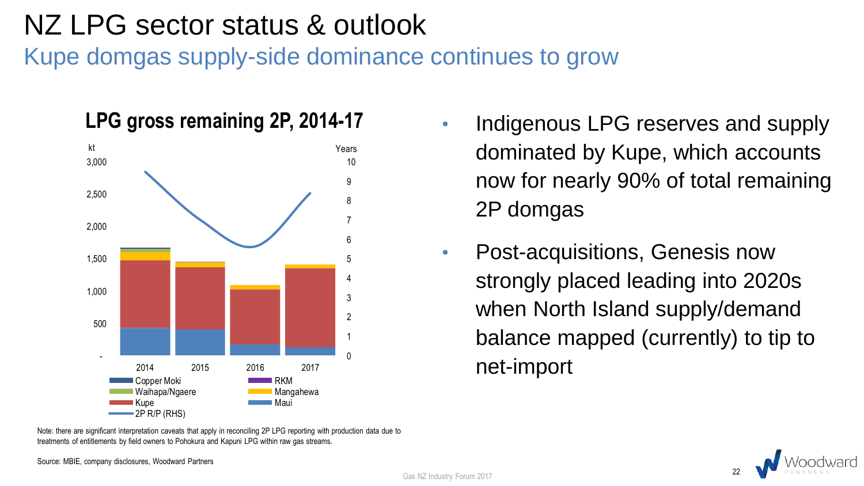## NZ LPG sector status & outlook

Kupe domgas supply-side dominance continues to grow



Note: there are significant interpretation caveats that apply in reconciling 2P LPG reporting with production data due to treatments of entitlements by field owners to Pohokura and Kapuni LPG within raw gas streams.

Source: MBIE, company disclosures, Woodward Partners

- **LPG gross remaining 2P, 2014-17** Indigenous LPG reserves and supply dominated by Kupe, which accounts now for nearly 90% of total remaining 2P domgas
	- Post-acquisitions, Genesis now strongly placed leading into 2020s when North Island supply/demand balance mapped (currently) to tip to net-import

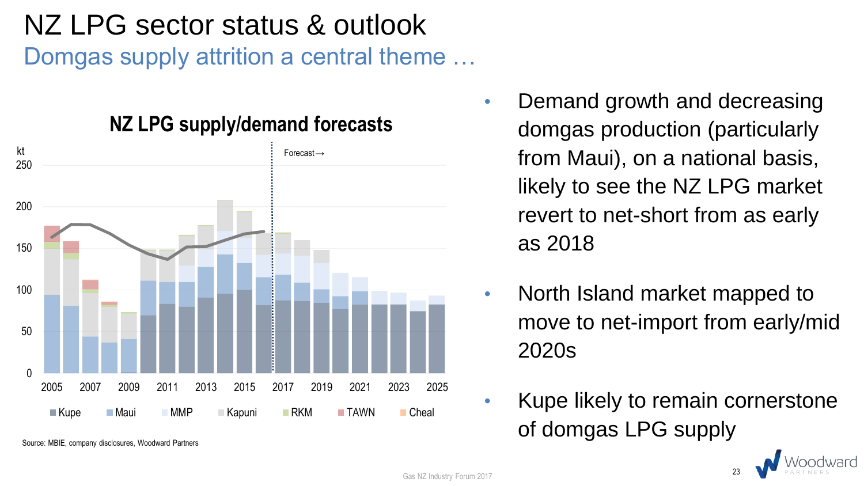## NZ LPG sector status & outlook

Domgas supply attrition a central theme …



**NZ LPG supply/demand forecasts**

Source: MBIE, company disclosures, Woodward Partners

- Demand growth and decreasing domgas production (particularly from Maui), on a national basis, likely to see the NZ LPG market revert to net-short from as early as 2018
- North Island market mapped to move to net-import from early/mid 2020s
- Kupe likely to remain cornerstone of domgas LPG supply



23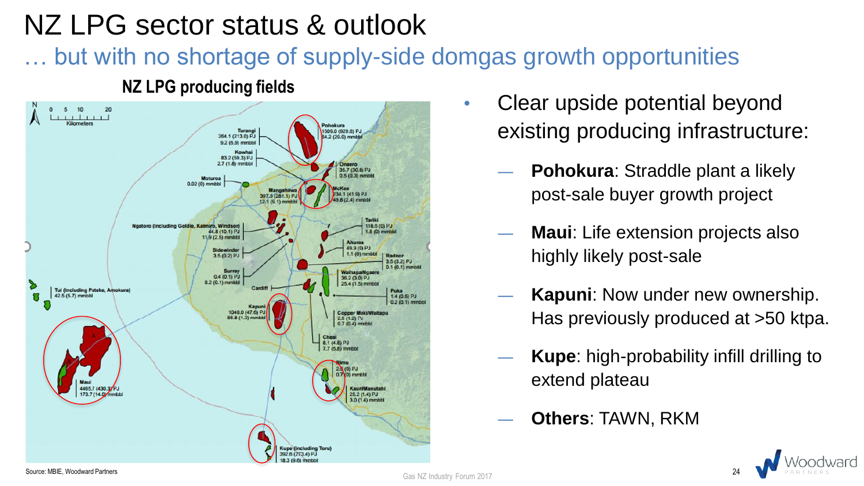## NZ LPG sector status & outlook

but with no shortage of supply-side domgas growth opportunities



#### **NZ LPG producing fields**

- Clear upside potential beyond existing producing infrastructure:
	- Pohokura: Straddle plant a likely post-sale buyer growth project
	- **Maui:** Life extension projects also highly likely post-sale
	- Kapuni: Now under new ownership. Has previously produced at >50 ktpa.
	- ― **Kupe**: high-probability infill drilling to extend plateau
	- ― **Others**: TAWN, RKM

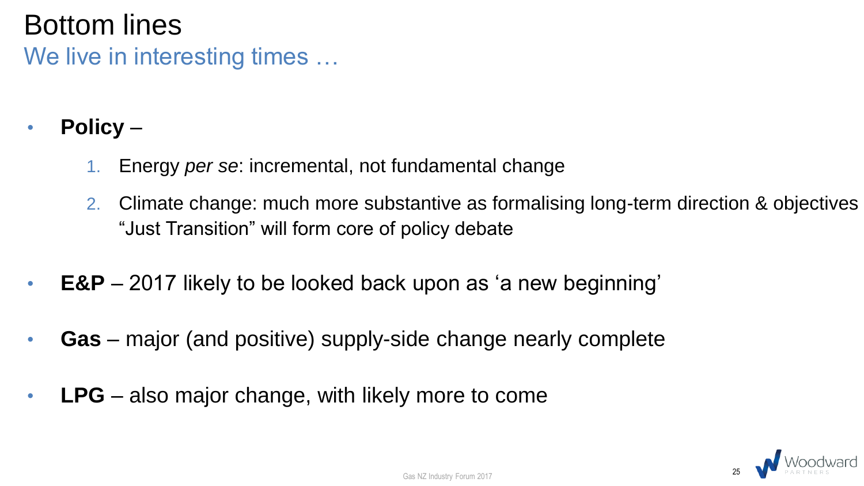## Bottom lines

We live in interesting times …

- **Policy**
	- 1. Energy *per se*: incremental, not fundamental change
	- 2. Climate change: much more substantive as formalising long-term direction & objectives "Just Transition" will form core of policy debate
- **E&P** 2017 likely to be looked back upon as 'a new beginning'
- **Gas** major (and positive) supply-side change nearly complete
- **LPG** also major change, with likely more to come